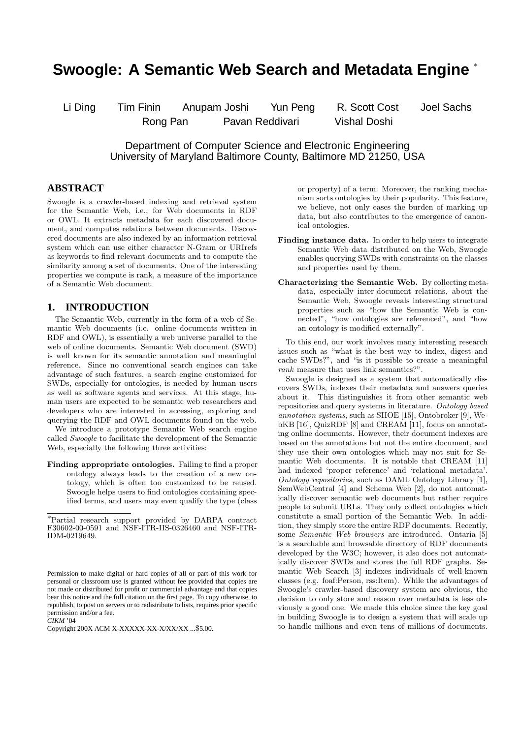# **Swoogle: A Semantic Web Search and Metadata Engine** <sup>∗</sup>

Li Ding Tim Finin Anupam Joshi Yun Peng R. Scott Cost Joel Sachs

Rong Pan Pavan Reddivari Vishal Doshi

Department of Computer Science and Electronic Engineering University of Maryland Baltimore County, Baltimore MD 21250, USA

## **ABSTRACT**

Swoogle is a crawler-based indexing and retrieval system for the Semantic Web, i.e., for Web documents in RDF or OWL. It extracts metadata for each discovered document, and computes relations between documents. Discovered documents are also indexed by an information retrieval system which can use either character N-Gram or URIrefs as keywords to find relevant documents and to compute the similarity among a set of documents. One of the interesting properties we compute is rank, a measure of the importance of a Semantic Web document.

# **1. INTRODUCTION**

The Semantic Web, currently in the form of a web of Semantic Web documents (i.e. online documents written in RDF and OWL), is essentially a web universe parallel to the web of online documents. Semantic Web document (SWD) is well known for its semantic annotation and meaningful reference. Since no conventional search engines can take advantage of such features, a search engine customized for SWDs, especially for ontologies, is needed by human users as well as software agents and services. At this stage, human users are expected to be semantic web researchers and developers who are interested in accessing, exploring and querying the RDF and OWL documents found on the web.

We introduce a prototype Semantic Web search engine called Swoogle to facilitate the development of the Semantic Web, especially the following three activities:

Finding appropriate ontologies. Failing to find a proper ontology always leads to the creation of a new ontology, which is often too customized to be reused. Swoogle helps users to find ontologies containing specified terms, and users may even qualify the type (class

*CIKM* '04

or property) of a term. Moreover, the ranking mechanism sorts ontologies by their popularity. This feature, we believe, not only eases the burden of marking up data, but also contributes to the emergence of canonical ontologies.

- Finding instance data. In order to help users to integrate Semantic Web data distributed on the Web, Swoogle enables querying SWDs with constraints on the classes and properties used by them.
- Characterizing the Semantic Web. By collecting metadata, especially inter-document relations, about the Semantic Web, Swoogle reveals interesting structural properties such as "how the Semantic Web is connected", "how ontologies are referenced", and "how an ontology is modified externally".

To this end, our work involves many interesting research issues such as "what is the best way to index, digest and cache SWDs?", and "is it possible to create a meaningful rank measure that uses link semantics?".

Swoogle is designed as a system that automatically discovers SWDs, indexes their metadata and answers queries about it. This distinguishes it from other semantic web repositories and query systems in literature. Ontology based annotation systems, such as SHOE [15], Ontobroker [9], WebKB [16], QuizRDF [8] and CREAM [11], focus on annotating online documents. However, their document indexes are based on the annotations but not the entire document, and they use their own ontologies which may not suit for Semantic Web documents. It is notable that CREAM [11] had indexed 'proper reference' and 'relational metadata'. Ontology repositories, such as DAML Ontology Library [1], SemWebCentral [4] and Schema Web [2], do not automatically discover semantic web documents but rather require people to submit URLs. They only collect ontologies which constitute a small portion of the Semantic Web. In addition, they simply store the entire RDF documents. Recently, some *Semantic* Web browsers are introduced. Ontaria [5] is a searchable and browsable directory of RDF documents developed by the W3C; however, it also does not automatically discover SWDs and stores the full RDF graphs. Semantic Web Search [3] indexes individuals of well-known classes (e.g. foaf:Person, rss:Item). While the advantages of Swoogle's crawler-based discovery system are obvious, the decision to only store and reason over metadata is less obviously a good one. We made this choice since the key goal in building Swoogle is to design a system that will scale up to handle millions and even tens of millions of documents.

<sup>∗</sup>Partial research support provided by DARPA contract F30602-00-0591 and NSF-ITR-IIS-0326460 and NSF-ITR-IDM-0219649.

Permission to make digital or hard copies of all or part of this work for personal or classroom use is granted without fee provided that copies are not made or distributed for profit or commercial advantage and that copies bear this notice and the full citation on the first page. To copy otherwise, to republish, to post on servers or to redistribute to lists, requires prior specific permission and/or a fee.

Copyright 200X ACM X-XXXXX-XX-X/XX/XX ...\$5.00.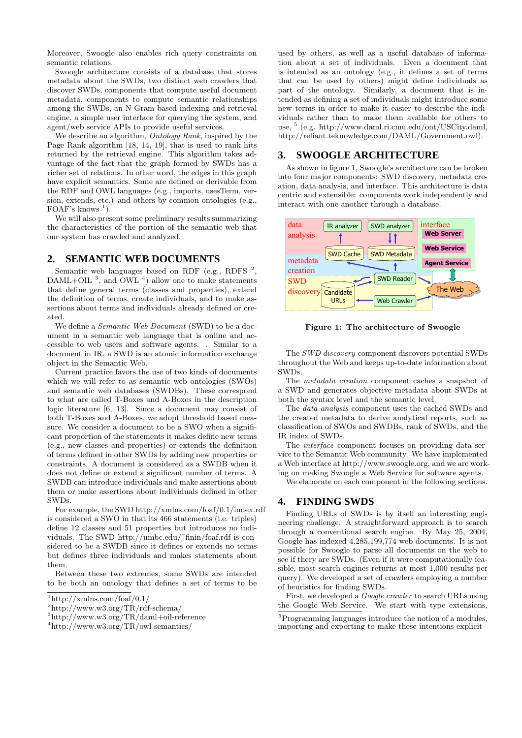Moreover, Swoogle also enables rich query constraints on semantic relations.

Swoogle architecture consists of a database that stores metadata about the SWDs, two distinct web crawlers that discover SWDs, components that compute useful document metadata, components to compute semantic relationships among the SWDs, an N-Gram based indexing and retrieval engine, a simple user interface for querying the system, and agent/web service APIs to provide useful services.

We describe an algorithm, *Ontology Rank*, inspired by the Page Rank algorithm [18, 14, 19], that is used to rank hits returned by the retrieval engine. This algorithm takes advantage of the fact that the graph formed by SWDs has a richer set of relations. In other word, the edges in this graph have explicit semantics. Some are defined or derivable from the RDF and OWL languages (e.g., imports, usesTerm, version, extends, etc.) and others by common ontologies (e.g., FOAF's knows  $<sup>1</sup>$ ).</sup>

We will also present some preliminary results summarizing the characteristics of the portion of the semantic web that our system has crawled and analyzed.

# **2. SEMANTIC WEB DOCUMENTS**

Semantic web languages based on RDF (e.g., RDFS  $^2$ ,  $DAML+OIL$ <sup>3</sup>, and  $OWL$ <sup>4</sup>) allow one to make statements that define general terms (classes and properties), extend the definition of terms, create individuals, and to make assertions about terms and individuals already defined or created.

We define a *Semantic Web Document* (SWD) to be a document in a semantic web language that is online and accessible to web users and software agents. . Similar to a document in IR, a SWD is an atomic information exchange object in the Semantic Web.

Current practice favors the use of two kinds of documents which we will refer to as semantic web ontologies (SWOs) and semantic web databases (SWDBs). These correspond to what are called T-Boxes and A-Boxes in the description logic literature [6, 13]. Since a document may consist of both T-Boxes and A-Boxes, we adopt threshold based measure. We consider a document to be a SWO when a significant proportion of the statements it makes define new terms (e.g., new classes and properties) or extends the definition of terms defined in other SWDs by adding new properties or constraints. A document is considered as a SWDB when it does not define or extend a significant number of terms. A SWDB can introduce individuals and make assertions about them or make assertions about individuals defined in other SWDs.

For example, the SWD http://xmlns.com/foaf/0.1/index.rdf is considered a SWO in that its 466 statements (i.e. triples) define 12 classes and 51 properties but introduces no individuals. The SWD http://umbc.edu/˜finin/foaf.rdf is considered to be a SWDB since it defines or extends no terms but defines three individuals and makes statements about them.

Between these two extremes, some SWDs are intended to be both an ontology that defines a set of terms to be

used by others, as well as a useful database of information about a set of individuals. Even a document that is intended as an ontology (e.g., it defines a set of terms that can be used by others) might define individuals as part of the ontology. Similarly, a document that is intended as defining a set of individuals might introduce some new terms in order to make it easier to describe the individuals rather than to make them available for others to use, <sup>5</sup> (e.g. http://www.daml.ri.cmu.edu/ont/USCity.daml, http://reliant.teknowledge.com/DAML/Government.owl).

## **3. SWOOGLE ARCHITECTURE**

As shown in figure 1, Swoogle's architecture can be broken into four major components: SWD discovery, metadata creation, data analysis, and interface. This architecture is data centric and extensible: components work independently and interact with one another through a database.



Figure 1: The architecture of Swoogle

The SWD discovery component discovers potential SWDs throughout the Web and keeps up-to-date information about SWDs.

The metadata creation component caches a snapshot of a SWD and generates objective metadata about SWDs at both the syntax level and the semantic level.

The data analysis component uses the cached SWDs and the created metadata to derive analytical reports, such as classification of SWOs and SWDBs, rank of SWDs, and the IR index of SWDs.

The interface component focuses on providing data service to the Semantic Web community. We have implemented a Web interface at http://www.swoogle.org, and we are working on making Swoogle a Web Service for software agents.

We elaborate on each component in the following sections.

## **4. FINDING SWDS**

Finding URLs of SWDs is by itself an interesting engineering challenge. A straightforward approach is to search through a conventional search engine. By May 25, 2004, Google has indexed 4,285,199,774 web documents. It is not possible for Swoogle to parse all documents on the web to see if thery are SWDs. (Even if it were computationally feasible, most search engines returns at most 1,000 results per query). We developed a set of crawlers employing a number of heuristics for finding SWDs.

First, we developed a *Google crawler* to search URLs using the Google Web Service. We start with type extensions,

<sup>1</sup>http://xmlns.com/foaf/0.1/

<sup>2</sup>http://www.w3.org/TR/rdf-schema/

<sup>3</sup>http://www.w3.org/TR/daml+oil-reference

<sup>4</sup>http://www.w3.org/TR/owl-semantics/

<sup>5</sup>Programming languages introduce the notion of a modules, importing and exporting to make these intentions explicit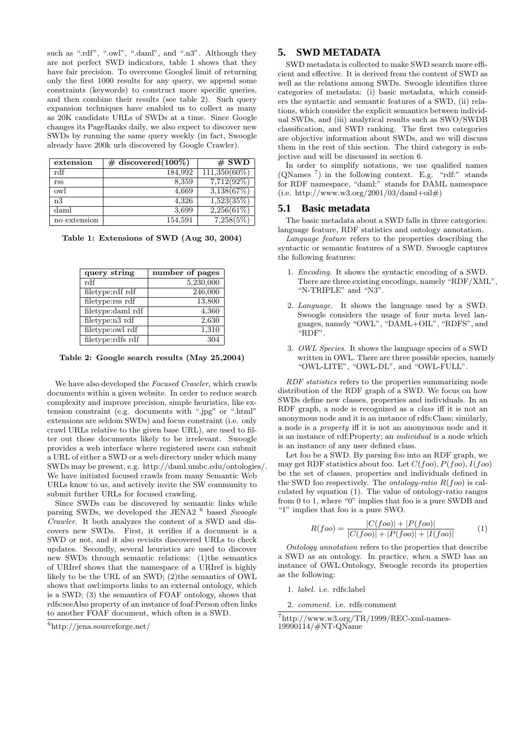such as ".rdf", ".owl", ".daml", and ".n3". Although they are not perfect SWD indicators, table 1 shows that they have fair precision. To overcome Googles' limit of returning only the first 1000 results for any query, we append some constraints (keywords) to construct more specific queries, and then combine their results (see table 2). Such query expansion techniques have enabled us to collect as many as 20K candidate URLs of SWDs at a time. Since Google changes its PageRanks daily, we also expect to discover new SWDs by running the same query weekly (in fact, Swoogle already have 200k urls discovered by Google Crawler).

| extension    | $\#$ discovered(100\%) | $#$ SWD         |
|--------------|------------------------|-----------------|
| rdf          | 184,992                | $111,350(60\%)$ |
| rss          | 8,359                  | $7,712(92\%)$   |
| owl          | 4,669                  | 3,138(67%)      |
| n3           | 4,326                  | 1,523(35%)      |
| daml         | 3.699                  | 2,256(61%)      |
| no extension | 154,591                | 7,258(5%)       |

Table 1: Extensions of SWD (Aug 30, 2004)

| query string      | number of pages |
|-------------------|-----------------|
| rdf               | 5,230,000       |
| filetype:rdf rdf  | 246,000         |
| filetype:rss rdf  | 13,800          |
| filetype:daml rdf | 4,360           |
| filetype:n3 rdf   | 2,630           |
| filetype:owl rdf  | 1,310           |
| filetype:rdfs rdf |                 |

Table 2: Google search results (May 25,2004)

We have also developed the *Focused Crawler*, which crawls documents within a given website. In order to reduce search complexity and improve precision, simple heuristics, like extension constraint (e.g. documents with ".jpg" or ".html" extensions are seldom SWDs) and focus constraint (i.e. only crawl URLs relative to the given base URL), are used to filter out those documents likely to be irrelevant. Swoogle provides a web interface where registered users can submit a URL of either a SWD or a web directory under which many SWDs may be present, e.g. http://daml.umbc.edu/ontologies/. We have initiated focused crawls from many Semantic Web URLs know to us, and actively invite the SW community to submit further URLs for focused crawling.

Since SWDs can be discovered by semantic links while parsing SWDs, we developed the JENA2<sup>6</sup> based Swoogle Crawler. It both analyzes the content of a SWD and discovers new SWDs. First, it verifies if a document is a SWD or not, and it also revisits discovered URLs to check updates. Secondly, several heuristics are used to discover new SWDs through semantic relations: (1)the semantics of URIref shows that the namespace of a URIref is highly likely to be the URL of an SWD; (2)the semantics of OWL shows that owl:imports links to an external ontology, which is a SWD; (3) the semantics of FOAF ontology, shows that rdfs:seeAlso property of an instance of foaf:Person often links to another FOAF document, which often is a SWD.

## **5. SWD METADATA**

SWD metadata is collected to make SWD search more efficient and effective. It is derived from the content of SWD as well as the relations among SWDs. Swoogle identifies three categories of metadata: (i) basic metadata, which considers the syntactic and semantic features of a SWD, (ii) relations, which consider the explicit semantics between individual SWDs, and (iii) analytical results such as SWO/SWDB classification, and SWD ranking. The first two categories are objective information about SWDs, and we will discuss them in the rest of this section. The third category is subjective and will be discussed in section 6.

In order to simplify notations, we use qualified names (QNames <sup>7</sup> ) in the following context. E.g. "rdf:" stands for RDF namespace, "daml:" stands for DAML namespace  $(i.e. http://www.w3.org/2001/03/daml+oil#)$ 

#### **5.1 Basic metadata**

The basic metadata about a SWD falls in three categories: language feature, RDF statistics and ontology annotation.

Language feature refers to the properties describing the syntactic or semantic features of a SWD. Swoogle captures the following features:

- 1. Encoding. It shows the syntactic encoding of a SWD. There are three existing encodings, namely "RDF/XML", "N-TRIPLE" and "N3".
- 2. Language. It shows the language used by a SWD. Swoogle considers the usage of four meta level languages, namely "OWL", "DAML+OIL", "RDFS", and "RDF".
- 3. OWL Species. It shows the language species of a SWD written in OWL. There are three possible species, namely "OWL-LITE", "OWL-DL", and "OWL-FULL".

RDF statistics refers to the properties summarizing node distribution of the RDF graph of a SWD. We focus on how SWDs define new classes, properties and individuals. In an RDF graph, a node is recognized as a class iff it is not an anonymous node and it is an instance of rdfs:Class; similarly, a node is a property iff it is not an anonymous node and it is an instance of rdf:Property; an individual is a node which is an instance of any user defined class.

Let foo be a SWD. By parsing foo into an RDF graph, we may get RDF statistics about foo. Let  $C(foo)$ ,  $P(foo)$ ,  $I(foo)$ be the set of classes, properties and individuals defined in the SWD foo respectively. The *ontology-ratio*  $R(foo)$  is calculated by equation (1). The value of ontology-ratio ranges from 0 to 1, where "0" implies that foo is a pure SWDB and "1" implies that foo is a pure SWO.

$$
R(foo) = \frac{|C(foo)| + |P(foo)|}{|C(foo)| + |P(foo)| + |I(foo)|}
$$
(1)

Ontology annotation refers to the properties that describe a SWD as an ontology. In practice, when a SWD has an instance of OWL:Ontology, Swoogle records its properties as the following:

- 1. label. i.e. rdfs:label
- 2. comment. i.e. rdfs:comment

<sup>6</sup>http://jena.sourceforge.net/

<sup>7</sup>http://www.w3.org/TR/1999/REC-xml-names-19990114/#NT-QName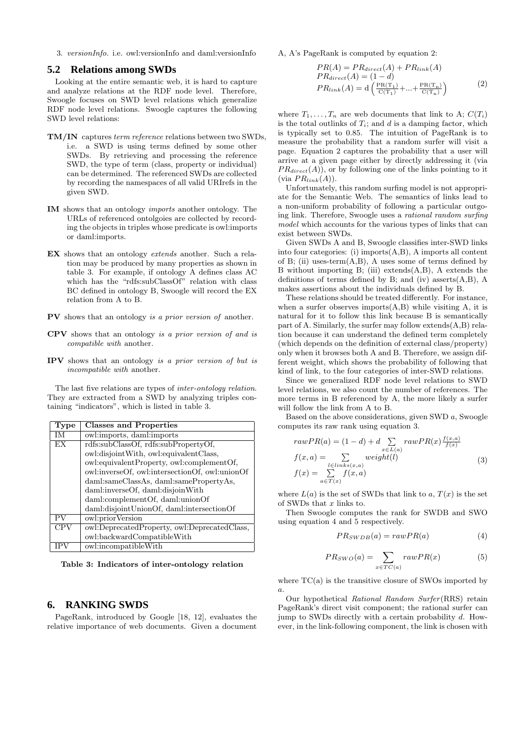3. versionInfo. i.e. owl:versionInfo and daml:versionInfo

#### **5.2 Relations among SWDs**

Looking at the entire semantic web, it is hard to capture and analyze relations at the RDF node level. Therefore, Swoogle focuses on SWD level relations which generalize RDF node level relations. Swoogle captures the following SWD level relations:

- TM/IN captures term reference relations between two SWDs, i.e. a SWD is using terms defined by some other SWDs. By retrieving and processing the reference SWD, the type of term (class, property or individual) can be determined. The referenced SWDs are collected by recording the namespaces of all valid URIrefs in the given SWD.
- IM shows that an ontology imports another ontology. The URLs of referenced ontolgoies are collected by recording the objects in triples whose predicate is owl:imports or daml:imports.
- EX shows that an ontology extends another. Such a relation may be produced by many properties as shown in table 3. For example, if ontology A defines class AC which has the "rdfs:subClassOf" relation with class BC defined in ontology B, Swoogle will record the EX relation from A to B.
- PV shows that an ontology is a prior version of another.
- CPV shows that an ontology is a prior version of and is compatible with another.
- IPV shows that an ontology is a prior version of but is incompatible with another.

The last five relations are types of inter-ontology relation. They are extracted from a SWD by analyzing triples containing "indicators", which is listed in table 3.

| Type       | <b>Classes and Properties</b>                  |
|------------|------------------------------------------------|
| IM         | owl:imports, daml:imports                      |
| EX         | rdfs:subClassOf, rdfs:subPropertyOf,           |
|            | owl:disjointWith, owl:equivalentClass,         |
|            | owl:equivalentProperty, owl:complementOf,      |
|            | owl:inverseOf, owl:intersectionOf, owl:unionOf |
|            | daml:sameClassAs, daml:samePropertyAs,         |
|            | daml:inverseOf, daml:disjoinWith               |
|            | daml:complementOf, daml:unionOf                |
|            | daml:disjointUnionOf, daml:intersectionOf      |
| PV         | owl:priorVersion                               |
| <b>CPV</b> | owl:DeprecatedProperty, owl:DeprecatedClass,   |
|            | owl:backwardCompatibleWith                     |
|            | owl:incompatibleWith                           |

Table 3: Indicators of inter-ontology relation

#### **6. RANKING SWDS**

PageRank, introduced by Google [18, 12], evaluates the relative importance of web documents. Given a document A, A's PageRank is computed by equation 2:

$$
PR(A) = PR_{direct}(A) + PR_{link}(A)
$$
  
\n
$$
PR_{direct}(A) = (1 - d)
$$
  
\n
$$
PR_{link}(A) = d\left(\frac{PR(T_1)}{C(T_1)} + ... + \frac{PR(T_n)}{C(T_n)}\right)
$$
\n(2)

where  $T_1, \ldots, T_n$  are web documents that link to A;  $C(T_i)$ is the total outlinks of  $T_i$ ; and d is a damping factor, which is typically set to 0.85. The intuition of PageRank is to measure the probability that a random surfer will visit a page. Equation 2 captures the probability that a user will arrive at a given page either by directly addressing it (via  $PR_{direct}(A)$ , or by following one of the links pointing to it (via  $PR_{link}(A)$ ).

Unfortunately, this random surfing model is not appropriate for the Semantic Web. The semantics of links lead to a non-uniform probability of following a particular outgoing link. Therefore, Swoogle uses a rational random surfing model which accounts for the various types of links that can exist between SWDs.

Given SWDs A and B, Swoogle classifies inter-SWD links into four categories: (i) imports(A,B), A imports all content of B; (ii) uses-term(A,B), A uses some of terms defined by B without importing B; (iii) extends $(A,B)$ , A extends the definitions of terms defined by B; and (iv) asserts $(A,B)$ , A makes assertions about the individuals defined by B.

These relations should be treated differently. For instance, when a surfer observes imports $(A, B)$  while visiting A, it is natural for it to follow this link because B is semantically part of A. Similarly, the surfer may follow extends(A,B) relation because it can understand the defined term completely (which depends on the definition of external class/property) only when it browses both A and B. Therefore, we assign different weight, which shows the probability of following that kind of link, to the four categories of inter-SWD relations.

Since we generalized RDF node level relations to SWD level relations, we also count the number of references. The more terms in B referenced by A, the more likely a surfer will follow the link from A to B.

Based on the above considerations, given SWD a, Swoogle computes its raw rank using equation 3.

$$
rawPR(a) = (1 - d) + d \sum_{x \in L(a)} rawPR(x) \frac{f(x, a)}{f(x)}
$$
  
\n
$$
f(x, a) = \sum_{l \in links(x, a)} weight(l)
$$
  
\n
$$
f(x) = \sum_{a \in T(x)} f(x, a)
$$
\n(3)

where  $L(a)$  is the set of SWDs that link to a,  $T(x)$  is the set of SWDs that  $x$  links to.

Then Swoogle computes the rank for SWDB and SWO using equation 4 and 5 respectively.

$$
PR_{SWDB}(a) = rawPR(a)
$$
 (4)

$$
PR_{SWO}(a) = \sum_{x \in TC(a)} rawPR(x)
$$
 (5)

where  $TC(a)$  is the transitive closure of SWOs imported by a.

Our hypothetical Rational Random Surfer (RRS) retain PageRank's direct visit component; the rational surfer can jump to SWDs directly with a certain probability d. However, in the link-following component, the link is chosen with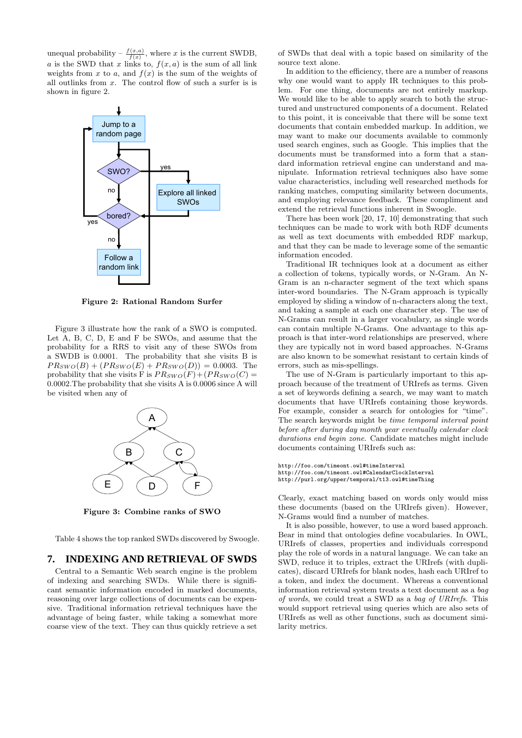unequal probability  $-\frac{f(x,a)}{f(x)}$ , where x is the current SWDB, a is the SWD that x links to,  $f(x, a)$  is the sum of all link weights from x to a, and  $f(x)$  is the sum of the weights of all outlinks from x. The control flow of such a surfer is is shown in figure 2.



Figure 2: Rational Random Surfer

Figure 3 illustrate how the rank of a SWO is computed. Let A, B, C, D, E and F be SWOs, and assume that the probability for a RRS to visit any of these SWOs from a SWDB is 0.0001. The probability that she visits B is  $PR_{SWO}(B) + (PR_{SWO}(E) + PR_{SWO}(D)) = 0.0003$ . The probability that she visits F is  $PR_{SWO}(F) + (PR_{SWO}(C) =$ 0.0002.The probability that she visits A is 0.0006 since A will be visited when any of



Figure 3: Combine ranks of SWO

Table 4 shows the top ranked SWDs discovered by Swoogle.

## **7. INDEXING AND RETRIEVAL OF SWDS**

Central to a Semantic Web search engine is the problem of indexing and searching SWDs. While there is significant semantic information encoded in marked documents, reasoning over large collections of documents can be expensive. Traditional information retrieval techniques have the advantage of being faster, while taking a somewhat more coarse view of the text. They can thus quickly retrieve a set of SWDs that deal with a topic based on similarity of the source text alone.

In addition to the efficiency, there are a number of reasons why one would want to apply IR techniques to this problem. For one thing, documents are not entirely markup. We would like to be able to apply search to both the structured and unstructured components of a document. Related to this point, it is conceivable that there will be some text documents that contain embedded markup. In addition, we may want to make our documents available to commonly used search engines, such as Google. This implies that the documents must be transformed into a form that a standard information retrieval engine can understand and manipulate. Information retrieval techniques also have some value characteristics, including well researched methods for ranking matches, computing similarity between documents, and employing relevance feedback. These compliment and extend the retrieval functions inherent in Swoogle.

There has been work [20, 17, 10] demonstrating that such techniques can be made to work with both RDF dcuments as well as text documents with embedded RDF markup, and that they can be made to leverage some of the semantic information encoded.

Traditional IR techniques look at a document as either a collection of tokens, typically words, or N-Gram. An N-Gram is an n-character segment of the text which spans inter-word boundaries. The N-Gram approach is typically employed by sliding a window of n-characters along the text, and taking a sample at each one character step. The use of N-Grams can result in a larger vocabulary, as single words can contain multiple N-Grams. One advantage to this approach is that inter-word relationships are preserved, where they are typically not in word based approaches. N-Grams are also known to be somewhat resistant to certain kinds of errors, such as mis-spellings.

The use of N-Gram is particularly important to this approach because of the treatment of URIrefs as terms. Given a set of keywords defining a search, we may want to match documents that have URIrefs containing those keywords. For example, consider a search for ontologies for "time". The search keywords might be time temporal interval point before after during day month year eventually calendar clock durations end begin zone. Candidate matches might include documents containing URIrefs such as:

http://foo.com/timeont.owl#timeInterval http://foo.com/timeont.owl#CalendarClockInterval http://purl.org/upper/temporal/t13.owl#timeThing

Clearly, exact matching based on words only would miss these documents (based on the URIrefs given). However, N-Grams would find a number of matches.

It is also possible, however, to use a word based approach. Bear in mind that ontologies define vocabularies. In OWL, URIrefs of classes, properties and individuals correspond play the role of words in a natural language. We can take an SWD, reduce it to triples, extract the URIrefs (with duplicates), discard URIrefs for blank nodes, hash each URIref to a token, and index the document. Whereas a conventional information retrieval system treats a text document as a bag of words, we could treat a SWD as a bag of URIrefs. This would support retrieval using queries which are also sets of URIrefs as well as other functions, such as document similarity metrics.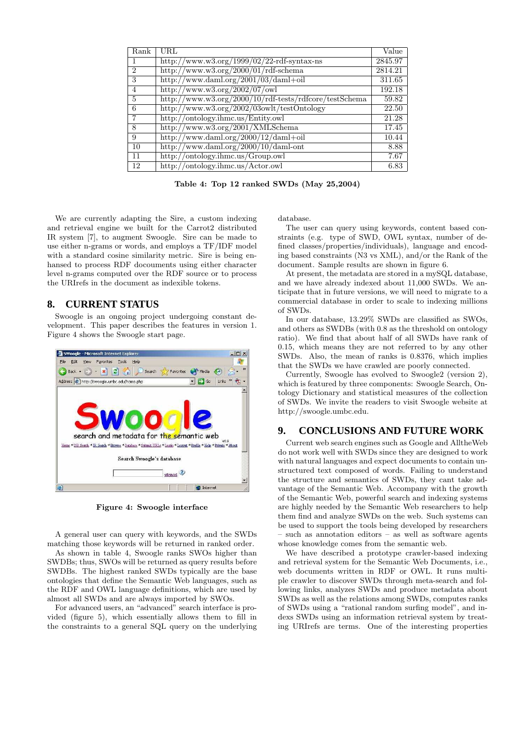| Rank           | URL                                                    | Value   |
|----------------|--------------------------------------------------------|---------|
|                | http://www.w3.org/1999/02/22-rdf-syntax-ns             | 2845.97 |
| $\mathfrak{D}$ | http://www.w3.org/2000/01/rdf-schema                   | 2814.21 |
| 3              | http://www.daml.org/2001/03/daml+oil                   | 311.65  |
| 4              | http://www.w3.org/2002/07/owl                          | 192.18  |
| 5              | http://www.w3.org/2000/10/rdf-tests/rdfcore/testSchema | 59.82   |
| 6              | http://www.w3.org/2002/03owlt/testOntology             | 22.50   |
|                | http://ontology.ihmc.us/Entity.owl                     | 21.28   |
| 8              | $\frac{http://www.w3.org/2001/XMLSchema}{}$            | 17.45   |
| 9              | http://www.daml.org/2000/12/daml+oil                   | 10.44   |
| 10             | $\frac{\text{http://www.daml.org/2000/10/daml-ont}}{$  | 8.88    |
| 11             | http://ontology.ihmc.us/Group.owl                      | 7.67    |
| 12             | http://ontology.ihmc.us/Actor.owl                      | 6.83    |

Table 4: Top 12 ranked SWDs (May 25,2004)

We are currently adapting the Sire, a custom indexing and retrieval engine we built for the Carrot2 distributed IR system [7], to augment Swoogle. Sire can be made to use either n-grams or words, and employs a TF/IDF model with a standard cosine similarity metric. Sire is being enhansed to process RDF docouments using either character level n-grams computed over the RDF source or to process the URIrefs in the document as indexible tokens.

## **8. CURRENT STATUS**

Swoogle is an ongoing project undergoing constant development. This paper describes the features in version 1. Figure 4 shows the Swoogle start page.



Figure 4: Swoogle interface

A general user can query with keywords, and the SWDs matching those keywords will be returned in ranked order.

As shown in table 4, Swoogle ranks SWOs higher than SWDBs; thus, SWOs will be returned as query results before SWDBs. The highest ranked SWDs typically are the base ontologies that define the Semantic Web languages, such as the RDF and OWL language definitions, which are used by almost all SWDs and are always imported by SWOs.

For advanced users, an "advanced" search interface is provided (figure 5), which essentially allows them to fill in the constraints to a general SQL query on the underlying database.

The user can query using keywords, content based constraints (e.g. type of SWD, OWL syntax, number of defined classes/properties/individuals), language and encoding based constraints (N3 vs XML), and/or the Rank of the document. Sample results are shown in figure 6.

At present, the metadata are stored in a mySQL database, and we have already indexed about 11,000 SWDs. We anticipate that in future versions, we will need to migrate to a commercial database in order to scale to indexing millions of SWDs.

In our database, 13.29% SWDs are classified as SWOs, and others as SWDBs (with 0.8 as the threshold on ontology ratio). We find that about half of all SWDs have rank of 0.15, which means they are not referred to by any other SWDs. Also, the mean of ranks is 0.8376, which implies that the SWDs we have crawled are poorly connected.

Currently, Swoogle has evolved to Swoogle2 (version 2), which is featured by three components: Swoogle Search, Ontology Dictionary and statistical measures of the collection of SWDs. We invite the readers to visit Swoogle website at http://swoogle.umbc.edu.

## **9. CONCLUSIONS AND FUTURE WORK**

Current web search engines such as Google and AlltheWeb do not work well with SWDs since they are designed to work with natural languages and expect documents to contain unstructured text composed of words. Failing to understand the structure and semantics of SWDs, they cant take advantage of the Semantic Web. Accompany with the growth of the Semantic Web, powerful search and indexing systems are highly needed by the Semantic Web researchers to help them find and analyze SWDs on the web. Such systems can be used to support the tools being developed by researchers – such as annotation editors – as well as software agents whose knowledge comes from the semantic web.

We have described a prototype crawler-based indexing and retrieval system for the Semantic Web Documents, i.e., web documents written in RDF or OWL. It runs multiple crawler to discover SWDs through meta-search and following links, analyzes SWDs and produce metadata about SWDs as well as the relations among SWDs, computes ranks of SWDs using a "rational random surfing model", and indexs SWDs using an information retrieval system by treating URIrefs are terms. One of the interesting properties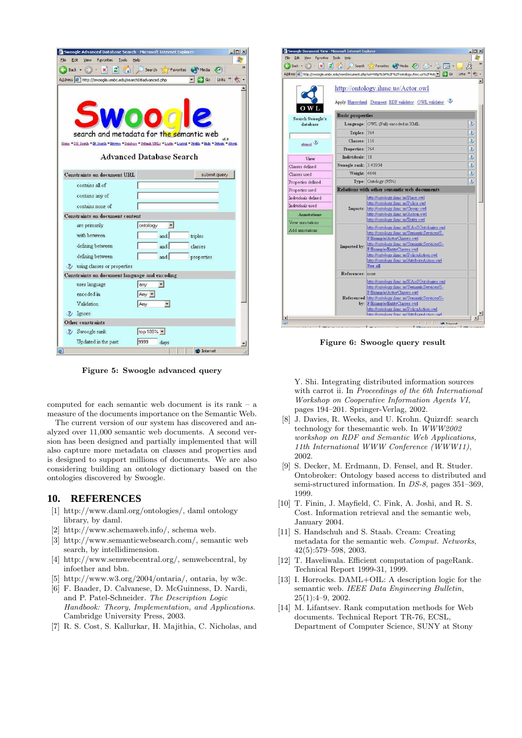| View<br>Favorites<br>Tools<br>Edit                                                                                                                   | Help                              |                                   |
|------------------------------------------------------------------------------------------------------------------------------------------------------|-----------------------------------|-----------------------------------|
| Back v<br>×<br>э                                                                                                                                     |                                   | Search Siz Favorites M Media C2   |
| Address # http://swoogle.umbc.edu/searchDBadvanced.php                                                                                               |                                   | Links >><br>$\rightarrow$ Go<br>电 |
|                                                                                                                                                      |                                   |                                   |
|                                                                                                                                                      |                                   |                                   |
|                                                                                                                                                      |                                   |                                   |
|                                                                                                                                                      | Woo <i>o</i>                      |                                   |
|                                                                                                                                                      |                                   |                                   |
| search and metadata for the semantic web<br>Home "DB Search "IR Search "Exports "Database "Submit URL: "Login "Logout "Profile "Help "Private "About |                                   |                                   |
|                                                                                                                                                      |                                   |                                   |
|                                                                                                                                                      | <b>Advanced Database Search</b>   |                                   |
|                                                                                                                                                      |                                   |                                   |
| <b>Constraints on document URL</b>                                                                                                                   |                                   | submit query                      |
| contains all of                                                                                                                                      |                                   |                                   |
| contains any of                                                                                                                                      |                                   |                                   |
| contains none of                                                                                                                                     |                                   |                                   |
| <b>Constraints on document content</b>                                                                                                               |                                   |                                   |
| are primarily                                                                                                                                        | ontology<br>$\mathbf{r}$          |                                   |
| with between                                                                                                                                         | and                               | triples                           |
| defining between                                                                                                                                     | and                               | classes                           |
| defining between                                                                                                                                     | and                               | properties                        |
|                                                                                                                                                      |                                   |                                   |
|                                                                                                                                                      |                                   |                                   |
|                                                                                                                                                      |                                   |                                   |
| 2) using classes or properties<br>Constraints on document language and encoding<br>uses language                                                     | lany<br>$\mathbf{v}$              |                                   |
| encoded in                                                                                                                                           |                                   |                                   |
| Validation                                                                                                                                           | Any -<br>$\overline{\phantom{a}}$ |                                   |
|                                                                                                                                                      | Any                               |                                   |
|                                                                                                                                                      |                                   |                                   |
| ?) Ignore<br>Other constraints<br>3 Swoogle rank                                                                                                     | top 100% -                        |                                   |

Figure 5: Swoogle advanced query

computed for each semantic web document is its rank – a measure of the documents importance on the Semantic Web.

The current version of our system has discovered and analyzed over 11,000 semantic web documents. A second version has been designed and partially implemented that will also capture more metadata on classes and properties and is designed to support millions of documents. We are also considering building an ontology dictionary based on the ontologies discovered by Swoogle.

## **10. REFERENCES**

- [1] http://www.daml.org/ontologies/, daml ontology library, by daml.
- [2] http://www.schemaweb.info/, schema web.
- [3] http://www.semanticwebsearch.com/, semantic web search, by intellidimension.
- [4] http://www.semwebcentral.org/, semwebcentral, by infoether and bbn.
- [5] http://www.w3.org/2004/ontaria/, ontaria, by w3c.
- [6] F. Baader, D. Calvanese, D. McGuinness, D. Nardi, and P. Patel-Schneider. The Description Logic Handbook: Theory, Implementation, and Applications. Cambridge University Press, 2003.
- [7] R. S. Cost, S. Kallurkar, H. Majithia, C. Nicholas, and

| Swoogle Document View - Microsoft Internet Explorer<br>Edit<br>Favorites<br>View | Tools<br>Help           |                                                                                                    | - 101                   |
|----------------------------------------------------------------------------------|-------------------------|----------------------------------------------------------------------------------------------------|-------------------------|
|                                                                                  |                         |                                                                                                    |                         |
| Back -<br>×                                                                      |                         | $\mathcal{L}$<br>Search Servorites a Media                                                         |                         |
|                                                                                  |                         | Address @ http://swoogle.umbc.edu/viewDocument.php?url=http%3A%2F%2Fontology.ihmc.us%2FActc = < Go | œ<br>Links              |
|                                                                                  |                         |                                                                                                    |                         |
|                                                                                  |                         | http://ontology.ihmc.us/Actor.owl                                                                  |                         |
|                                                                                  |                         |                                                                                                    |                         |
|                                                                                  |                         | Apply Hyperdaml Dumpont RDF validator OWL validator                                                |                         |
|                                                                                  |                         |                                                                                                    |                         |
| <b>Search Swoogle's</b>                                                          | <b>Basic properties</b> |                                                                                                    |                         |
| database                                                                         |                         | Language: OWL (Full) encoded in XML                                                                | $\overline{\mathbf{3}}$ |
|                                                                                  | Triples: 764            |                                                                                                    | $\overline{\mathbf{3}}$ |
|                                                                                  | Classes: 116            |                                                                                                    | $\ddot{v}$              |
| advanced ?                                                                       | Properties: 764         |                                                                                                    | $\overline{\mathbf{3}}$ |
| View                                                                             | Individuals: 18         |                                                                                                    | $\overline{3}$          |
| Classes defined                                                                  | Swoogle rank: 3.43934   |                                                                                                    | $\overline{\mathbf{3}}$ |
| Classes used                                                                     | Weight: 4646            |                                                                                                    | $\overline{\mathbf{3}}$ |
| Properties defined                                                               |                         | Type: Ontology (95%)                                                                               | $\overline{\mathbf{3}}$ |
| Properties used                                                                  |                         | <b>Relations with other semantic web documents</b>                                                 |                         |
| Individuals defined                                                              |                         | http://ontology.ihmc.us/Place.owl                                                                  |                         |
|                                                                                  |                         | http://ontology.ihmc.us/Policy.owl                                                                 |                         |
| Individuals used                                                                 |                         | Imports: http://ontology.ihmc.us/Group.owl                                                         |                         |
| <b>Annotations</b>                                                               |                         | http://ontology.ihmc.us/Action.owl                                                                 |                         |
| View annotations                                                                 |                         | http://ontology.ihmc.us/Entity.owl                                                                 |                         |
| Add annotations                                                                  |                         | http://ontology.ihmc.us/KAoSOntologies.owl                                                         |                         |
|                                                                                  |                         | http://ontology.ihmc.us/SemanticServices/S-                                                        |                         |
|                                                                                  |                         | F/Example/ActorClasses.owl                                                                         |                         |
|                                                                                  | Imported by:            | http://ontology.ihmc.us/SemanticServices/S-<br>F/Example/EntityClasses.owl                         |                         |
|                                                                                  |                         | http://ontology.ihmc.us/PolicyAction.owl                                                           |                         |
|                                                                                  |                         | http://ontology.ihmc.us/AttributeAction.owl                                                        |                         |
|                                                                                  |                         | See all                                                                                            |                         |
|                                                                                  | References: none        |                                                                                                    |                         |
|                                                                                  |                         | http://ontology.ihmc.us/KAoSOntologies.owl                                                         |                         |
|                                                                                  |                         | http://ontology.ihmc.us/SemanticServices/S-                                                        |                         |
|                                                                                  |                         | F/Example/ActorClasses.owl                                                                         |                         |
|                                                                                  |                         | Referenced http://ontology.ihmc.us/SemanticServices/S-                                             |                         |
|                                                                                  |                         | by: F/Example/EntityClasses.owl                                                                    |                         |
|                                                                                  |                         | http://ontology.ihmc.us/PolicyAction.owl                                                           |                         |
|                                                                                  |                         | http://ontology.jhmc.us/AttributeAction.owl                                                        |                         |

Figure 6: Swoogle query result

Y. Shi. Integrating distributed information sources with carrot ii. In Proceedings of the 6th International Workshop on Cooperative Information Agents VI, pages 194–201. Springer-Verlag, 2002.

- [8] J. Davies, R. Weeks, and U. Krohn. Quizrdf: search technology for thesemantic web. In WWW2002 workshop on RDF and Semantic Web Applications, 11th International WWW Conference (WWW11), 2002.
- [9] S. Decker, M. Erdmann, D. Fensel, and R. Studer. Ontobroker: Ontology based access to distributed and semi-structured information. In DS-8, pages 351–369, 1999.
- [10] T. Finin, J. Mayfield, C. Fink, A. Joshi, and R. S. Cost. Information retrieval and the semantic web, January 2004.
- [11] S. Handschuh and S. Staab. Cream: Creating metadata for the semantic web. Comput. Networks, 42(5):579–598, 2003.
- [12] T. Haveliwala. Efficient computation of pageRank. Technical Report 1999-31, 1999.
- [13] I. Horrocks. DAML+OIL: A description logic for the semantic web. IEEE Data Engineering Bulletin, 25(1):4–9, 2002.
- [14] M. Lifantsev. Rank computation methods for Web documents. Technical Report TR-76, ECSL, Department of Computer Science, SUNY at Stony